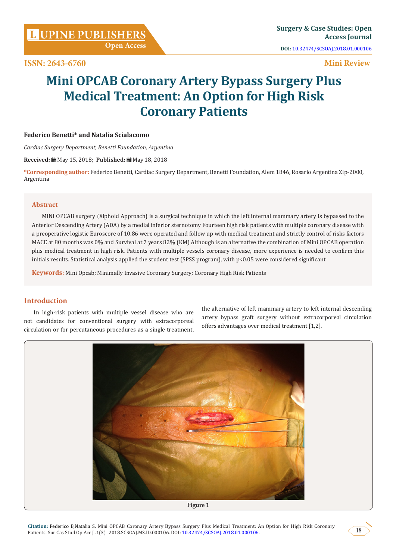**Open Access**

**ISSN: 2643-6760**

**DOI:** [10.32474/SCSOAJ.2018.01.000106](http://dx.doi.org/10.32474/SCSOAJ.2018.01.000106)

# **Mini Review**

# **Mini OPCAB Coronary Artery Bypass Surgery Plus Medical Treatment: An Option for High Risk Coronary Patients**

# **Federico Benetti\* and Natalia Scialacomo**

*Cardiac Surgery Department, Benetti Foundation, Argentina*

**Received:** May 15, 2018; **Published:** May 18, 2018

**\*Corresponding author:** Federico Benetti, Cardiac Surgery Department, Benetti Foundation, Alem 1846, Rosario Argentina Zip-2000, Argentina

### **Abstract**

MINI OPCAB surgery (Xiphoid Approach) is a surgical technique in which the left internal mammary artery is bypassed to the Anterior Descending Artery (ADA) by a medial inferior sternotomy Fourteen high risk patients with multiple coronary disease with a preoperative logistic Euroscore of 10.86 were operated and follow up with medical treatment and strictly control of risks factors MACE at 80 months was 0% and Survival at 7 years 82% (KM) Although is an alternative the combination of Mini OPCAB operation plus medical treatment in high risk. Patients with multiple vessels coronary disease, more experience is needed to confirm this initials results. Statistical analysis applied the student test (SPSS program), with p<0.05 were considered significant

**Keywords:** Mini Opcab; Minimally Invasive Coronary Surgery; Coronary High Risk Patients

## **Introduction**

In high-risk patients with multiple vessel disease who are not candidates for conventional surgery with extracorporeal circulation or for percutaneous procedures as a single treatment, the alternative of left mammary artery to left internal descending artery bypass graft surgery without extracorporeal circulation offers advantages over medical treatment [1,2].

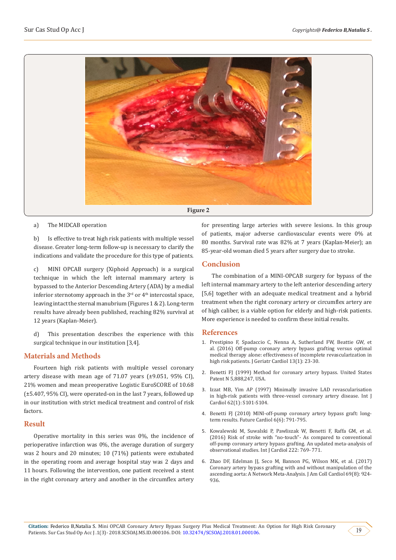

a) The MIDCAB operation

b) Is effective to treat high risk patients with multiple vessel disease. Greater long-term follow-up is necessary to clarify the indications and validate the procedure for this type of patients.

c) MINI OPCAB surgery (Xiphoid Approach) is a surgical technique in which the left internal mammary artery is bypassed to the Anterior Descending Artery (ADA) by a medial inferior sternotomy approach in the  $3<sup>rd</sup>$  or  $4<sup>th</sup>$  intercostal space, leaving intact the sternal manubrium (Figures 1 & 2). Long-term results have already been published, reaching 82% survival at 12 years (Kaplan-Meier).

d) This presentation describes the experience with this surgical technique in our institution [3,4].

## **Materials and Methods**

Fourteen high risk patients with multiple vessel coronary artery disease with mean age of 71.07 years (±9.051, 95% CI), 21% women and mean preoperative Logistic EuroSCORE of 10.68 (±5.407, 95% CI), were operated-on in the last 7 years, followed up in our institution with strict medical treatment and control of risk factors.

#### **Result**

Operative mortality in this series was 0%, the incidence of perioperative infarction was 0%, the average duration of surgery was 2 hours and 20 minutes; 10 (71%) patients were extubated in the operating room and average hospital stay was 2 days and 11 hours. Following the intervention, one patient received a stent in the right coronary artery and another in the circumflex artery

for presenting large arteries with severe lesions. In this group of patients, major adverse cardiovascular events were 0% at 80 months. Survival rate was 82% at 7 years (Kaplan-Meier); an 85-year-old woman died 5 years after surgery due to stroke.

# **Conclusion**

The combination of a MINI-OPCAB surgery for bypass of the left internal mammary artery to the left anterior descending artery [5,6] together with an adequate medical treatment and a hybrid treatment when the right coronary artery or circumflex artery are of high caliber, is a viable option for elderly and high-risk patients. More experience is needed to confirm these initial results.

## **References**

- 1. [Prestipino F, Spadaccio C, Nenna A, Sutherland FW, Beattie GW, et](https://www.ncbi.nlm.nih.gov/pubmed/26918009) [al. \(2016\) Off-pump coronary artery bypass grafting versus optimal](https://www.ncbi.nlm.nih.gov/pubmed/26918009) [medical therapy alone: effectiveness of incomplete revascularization in](https://www.ncbi.nlm.nih.gov/pubmed/26918009) [high risk patients. J Geriatr Cardiol 13\(1\): 23-30.](https://www.ncbi.nlm.nih.gov/pubmed/26918009)
- 2. [Benetti FJ \(1999\) Method for coronary artery bypass. United States](https://patents.google.com/patent/US5888247) [Patent N 5,888,247, USA.](https://patents.google.com/patent/US5888247)
- 3. [Izzat MB, Yim AP \(1997\) Minimally invasive LAD revascularisation](https://www.ncbi.nlm.nih.gov/pubmed/9464592) [in high-risk patients with three-vessel coronary artery disease. Int J](https://www.ncbi.nlm.nih.gov/pubmed/9464592) [Cardiol 62\(1\): S101-S104.](https://www.ncbi.nlm.nih.gov/pubmed/9464592)
- 4. [Benetti FJ \(2010\) MINI-off-pump coronary artery bypass graft: long](https://www.ncbi.nlm.nih.gov/pubmed/21142636)[term results. Future Cardiol 6\(6\): 791-795.](https://www.ncbi.nlm.nih.gov/pubmed/21142636)
- 5. [Kowalewski M, Suwalski P, Pawliszak W, Benetti F, Raffa GM, et al.](https://www.ncbi.nlm.nih.gov/pubmed/27521555) [\(2016\) Risk of stroke with "no-touch"- As compared to conventional](https://www.ncbi.nlm.nih.gov/pubmed/27521555) [off-pump coronary artery bypass grafting. An updated meta-analysis of](https://www.ncbi.nlm.nih.gov/pubmed/27521555) [observational studies. Int J Cardiol 222: 769- 771.](https://www.ncbi.nlm.nih.gov/pubmed/27521555)
- 6. [Zhao DF, Edelman JJ, Seco M, Bannon PG, Wilson MK, et al. \(2017\)](https://www.ncbi.nlm.nih.gov/pubmed/28231944) [Coronary artery bypass grafting with and without manipulation of the](https://www.ncbi.nlm.nih.gov/pubmed/28231944) [ascending aorta: A Network Meta-Analysis. J Am Coll Cardiol 69\(8\): 924-](https://www.ncbi.nlm.nih.gov/pubmed/28231944) [936.](https://www.ncbi.nlm.nih.gov/pubmed/28231944)

19